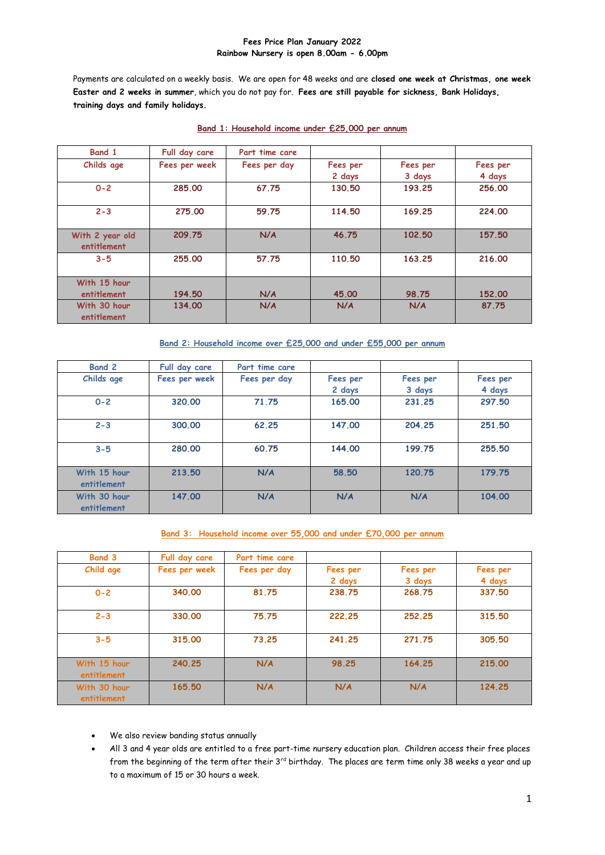#### **Fees Price Plan January 2022 Rainbow Nursery is open 8.00am - 6.00pm**

Payments are calculated on a weekly basis. We are open for 48 weeks and are **closed one week at Christmas, one week Easter and 2 weeks in summer**, which you do not pay for. **Fees are still payable for sickness, Bank Holidays, training days and family holidays.**

| Band 1                         | Full day care | Part time care |                    |                    |                    |
|--------------------------------|---------------|----------------|--------------------|--------------------|--------------------|
| Childs age                     | Fees per week | Fees per day   | Fees per<br>2 days | Fees per<br>3 days | Fees per<br>4 days |
| $0 - 2$                        | 285,00        | 67.75          | 130.50             | 193.25             | 256,00             |
| $2 - 3$                        | 275,00        | 59.75          | 114.50             | 169.25             | 224,00             |
| With 2 year old<br>entitlement | 209.75        | N/A            | 46.75              | 102.50             | 157,50             |
| $3 - 5$                        | 255,00        | 57.75          | 110.50             | 163.25             | 216.00             |
| With 15 hour<br>entitlement    | 194,50        | N/A            | 45,00              | 98.75              | 152,00             |
| With 30 hour<br>entitlement    | 134,00        | N/A            | N/A                | N/A                | 87.75              |

## **Band 1: Household income under £25,000 per annum**

**Band 2: Household income over £25,000 and under £55,000 per annum**

| <b>Band 2</b>               | Full day care | Part time care |                    |                    |                    |
|-----------------------------|---------------|----------------|--------------------|--------------------|--------------------|
| Childs age                  | Fees per week | Fees per day   | Fees per<br>2 days | Fees per<br>3 days | Fees per<br>4 days |
| $0 - 2$                     | 320,00        | 71.75          | 165,00             | 231.25             | 297.50             |
| $2 - 3$                     | 300.00        | 62.25          | 147,00             | 204.25             | 251.50             |
| $3 - 5$                     | 280,00        | 60.75          | 144.00             | 199.75             | 255.50             |
| With 15 hour<br>entitlement | 213.50        | N/A            | 58.50              | 120.75             | 179.75             |
| With 30 hour<br>entitlement | 147,00        | N/A            | N/A                | N/A                | 104.00             |

### **Band 3: Household income over 55,000 and under £70,000 per annum**

| <b>Band 3</b>               | Full day care | Part time care |          |          |          |
|-----------------------------|---------------|----------------|----------|----------|----------|
| Child age                   | Fees per week | Fees per day   | Fees per | Fees per | Fees per |
|                             |               |                | 2 days   | 3 days   | 4 days   |
| $0 - 2$                     | 340,00        | 81.75          | 238.75   | 268.75   | 337.50   |
| $2 - 3$                     | 330.00        | 75.75          | 222.25   | 252.25   | 315.50   |
| $3 - 5$                     | 315,00        | 73.25          | 241.25   | 271.75   | 305.50   |
| With 15 hour<br>entitlement | 240.25        | N/A            | 98.25    | 164.25   | 215.00   |
| With 30 hour<br>entitlement | 165.50        | N/A            | N/A      | N/A      | 124.25   |

- We also review banding status annually
- All 3 and 4 year olds are entitled to a free part-time nursery education plan. Children access their free places from the beginning of the term after their 3<sup>rd</sup> birthday. The places are term time only 38 weeks a year and up to a maximum of 15 or 30 hours a week.